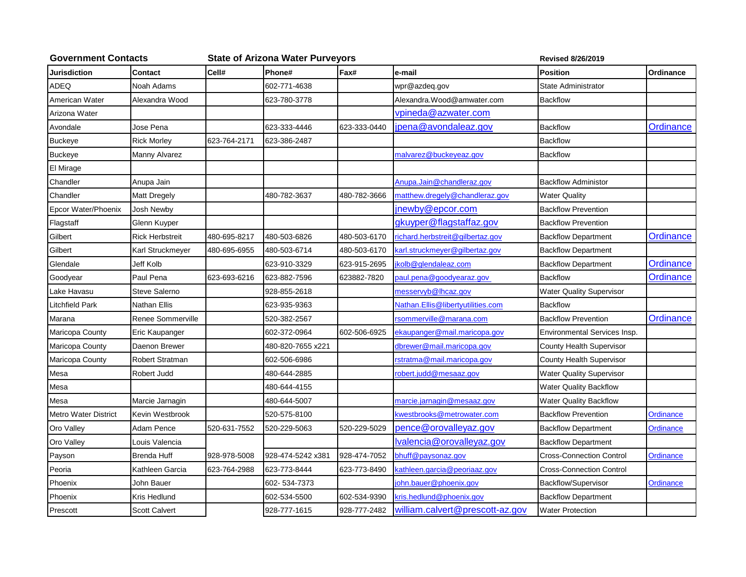| <b>Government Contacts</b>  |                        |              | <b>State of Arizona Water Purveyors</b> | <b>Revised 8/26/2019</b> |                                   |                                 |                  |
|-----------------------------|------------------------|--------------|-----------------------------------------|--------------------------|-----------------------------------|---------------------------------|------------------|
| Jurisdiction                | Contact                | Cell#        | Phone#                                  | Fax#                     | e-mail                            | <b>Position</b>                 | Ordinance        |
| ADEQ                        | Noah Adams             |              | 602-771-4638                            |                          | wpr@azdeq.gov                     | State Administrator             |                  |
| American Water              | Alexandra Wood         |              | 623-780-3778                            |                          | Alexandra.Wood@amwater.com        | <b>Backflow</b>                 |                  |
| Arizona Water               |                        |              |                                         |                          | vpineda@azwater.com               |                                 |                  |
| Avondale                    | Jose Pena              |              | 623-333-4446                            | 623-333-0440             | jpena@avondaleaz.gov              | <b>Backflow</b>                 | Ordinance        |
| <b>Buckeye</b>              | <b>Rick Morley</b>     | 623-764-2171 | 623-386-2487                            |                          |                                   | <b>Backflow</b>                 |                  |
| <b>Buckeye</b>              | Manny Alvarez          |              |                                         |                          | malvarez@buckeyeaz.gov            | <b>Backflow</b>                 |                  |
| El Mirage                   |                        |              |                                         |                          |                                   |                                 |                  |
| Chandler                    | Anupa Jain             |              |                                         |                          | Anupa.Jain@chandleraz.gov         | <b>Backflow Administor</b>      |                  |
| Chandler                    | Matt Dregely           |              | 480-782-3637                            | 480-782-3666             | matthew.dregely@chandleraz.gov    | <b>Water Quality</b>            |                  |
| Epcor Water/Phoenix         | Josh Newby             |              |                                         |                          | jnewby@epcor.com                  | <b>Backflow Prevention</b>      |                  |
| Flagstaff                   | Glenn Kuyper           |              |                                         |                          | gkuyper@flagstaffaz.gov           | <b>Backflow Prevention</b>      |                  |
| Gilbert                     | <b>Rick Herbstreit</b> | 480-695-8217 | 480-503-6826                            | 480-503-6170             | richard.herbstreit@gilbertaz.gov  | <b>Backflow Department</b>      | Ordinance        |
| Gilbert                     | Karl Struckmeyer       | 480-695-6955 | 480-503-6714                            | 480-503-6170             | karl.struckmeyer@gilbertaz.gov    | <b>Backflow Department</b>      |                  |
| Glendale                    | Jeff Kolb              |              | 623-910-3329                            | 623-915-2695             | kolb@glendaleaz.com               | <b>Backflow Department</b>      | Ordinance        |
| Goodyear                    | Paul Pena              | 623-693-6216 | 623-882-7596                            | 623882-7820              | paul.pena@goodyearaz.gov          | <b>Backflow</b>                 | Ordinance        |
| Lake Havasu                 | <b>Steve Salerno</b>   |              | 928-855-2618                            |                          | messervyb@lhcaz.gov               | <b>Water Quality Supervisor</b> |                  |
| Litchfield Park             | Nathan Ellis           |              | 623-935-9363                            |                          | Nathan.Ellis@libertyutilities.com | <b>Backflow</b>                 |                  |
| Marana                      | Renee Sommerville      |              | 520-382-2567                            |                          | rsommerville@marana.com           | <b>Backflow Prevention</b>      | Ordinance        |
| Maricopa County             | Eric Kaupanger         |              | 602-372-0964                            | 602-506-6925             | ekaupanger@mail.maricopa.gov      | Environmental Services Insp.    |                  |
| Maricopa County             | Daenon Brewer          |              | 480-820-7655 x221                       |                          | dbrewer@mail.maricopa.gov         | County Health Supervisor        |                  |
| Maricopa County             | Robert Stratman        |              | 602-506-6986                            |                          | rstratma@mail.maricopa.gov        | County Health Supervisor        |                  |
| Mesa                        | Robert Judd            |              | 480-644-2885                            |                          | robert.judd@mesaaz.gov            | <b>Water Quality Supervisor</b> |                  |
| Mesa                        |                        |              | 480-644-4155                            |                          |                                   | <b>Water Quality Backflow</b>   |                  |
| Mesa                        | Marcie Jarnagin        |              | 480-644-5007                            |                          | marcie.jarnagin@mesaaz.gov        | <b>Water Quality Backflow</b>   |                  |
| <b>Metro Water District</b> | Kevin Westbrook        |              | 520-575-8100                            |                          | kwestbrooks@metrowater.com        | <b>Backflow Prevention</b>      | <b>Ordinance</b> |
| Oro Valley                  | Adam Pence             | 520-631-7552 | 520-229-5063                            | 520-229-5029             | pence@orovalleyaz.gov             | <b>Backflow Department</b>      | Ordinance        |
| Oro Valley                  | Louis Valencia         |              |                                         |                          | Ivalencia@orovalleyaz.gov         | <b>Backflow Department</b>      |                  |
| Payson                      | <b>Brenda Huff</b>     | 928-978-5008 | 928-474-5242 x381                       | 928-474-7052             | bhuff@paysonaz.gov                | <b>Cross-Connection Control</b> | Ordinance        |
| Peoria                      | Kathleen Garcia        | 623-764-2988 | 623-773-8444                            | 623-773-8490             | sathleen.garcia@peoriaaz.gov      | <b>Cross-Connection Control</b> |                  |
| Phoenix                     | John Bauer             |              | 602-534-7373                            |                          | john.bauer@phoenix.gov            | Backflow/Supervisor             | Ordinance        |
| Phoenix                     | Kris Hedlund           |              | 602-534-5500                            | 602-534-9390             | kris.hedlund@phoenix.gov          | <b>Backflow Department</b>      |                  |
| Prescott                    | <b>Scott Calvert</b>   |              | 928-777-1615                            | 928-777-2482             | william.calvert@prescott-az.gov   | <b>Water Protection</b>         |                  |